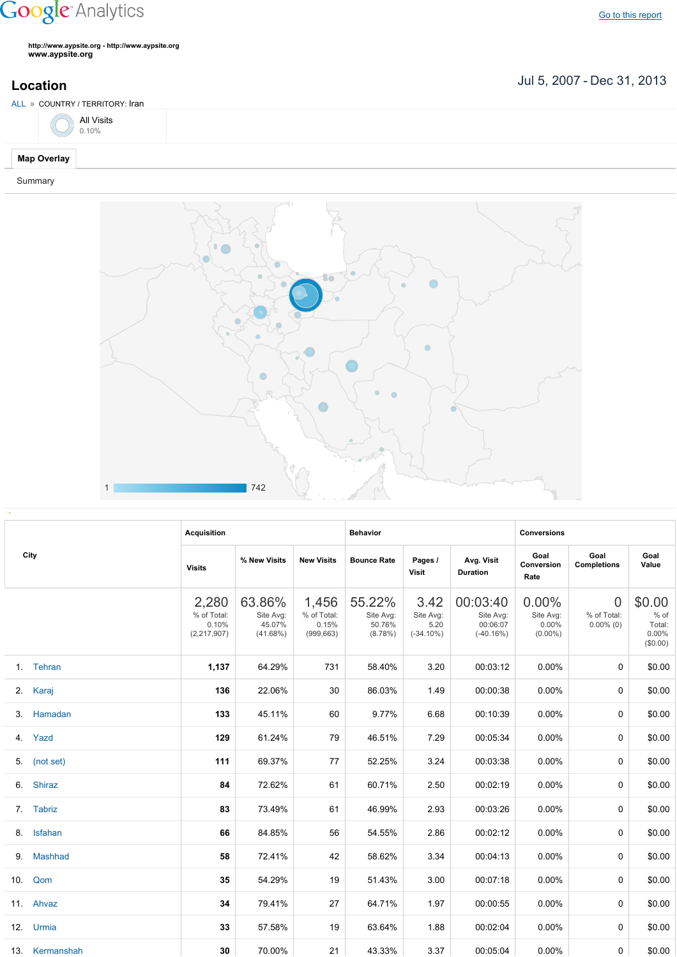## **Google** Analytics

Go to this [report](https://www.google.com/analytics/web/?utm_source=pdfReportLink#report/visitors-geo/a2184169w3912412p4016214/%3F_u.date00%3D20070705%26_u.date01%3D20131231%26geo-table.plotKeys%3D%5B%5D%26geo-table.rowStart%3D0%26geo-table.rowCount%3D1000%26_r.drilldown%3Danalytics.country%3AIR%26geo-segmentExplorer.segmentId%3Danalytics.city/)

**http://www.aypsite.org http://www.aypsite.org www.aypsite.org**

**Location** Jul 5, 2007 - Dec 31, 2013

| ALL » COUNTRY / TERRITORY: Iran  |  |
|----------------------------------|--|
| All Visits<br>$\frac{1}{0.10\%}$ |  |
| <b>Map Overlay</b>               |  |

## Summary



|  | City           | <b>Acquisition</b>                             |                                           |                                             | <b>Behavior</b>                             |                                           |                                                  | <b>Conversions</b>                              |                                               |                                                 |
|--|----------------|------------------------------------------------|-------------------------------------------|---------------------------------------------|---------------------------------------------|-------------------------------------------|--------------------------------------------------|-------------------------------------------------|-----------------------------------------------|-------------------------------------------------|
|  |                | <b>Visits</b>                                  | % New Visits                              | <b>New Visits</b>                           | <b>Bounce Rate</b>                          | Pages /<br>Visit                          | Avg. Visit<br><b>Duration</b>                    | Goal<br>Conversion<br>Rate                      | Goal<br><b>Completions</b>                    | Goal<br>Value                                   |
|  |                | 2,280<br>% of Total:<br>0.10%<br>(2, 217, 907) | 63.86%<br>Site Avg:<br>45.07%<br>(41.68%) | 1,456<br>% of Total:<br>0.15%<br>(999, 663) | 55.22%<br>Site Avg:<br>50.76%<br>$(8.78\%)$ | 3.42<br>Site Avg:<br>5.20<br>$(-34.10\%)$ | 00:03:40<br>Site Avg:<br>00:06:07<br>$(-40.16%)$ | $0.00\%$<br>Site Avg:<br>$0.00\%$<br>$(0.00\%)$ | $\overline{0}$<br>% of Total:<br>$0.00\%$ (0) | \$0.00<br>$%$ of<br>Total:<br>0.00%<br>(\$0.00) |
|  | 1. Tehran      | 1,137                                          | 64.29%                                    | 731                                         | 58.40%                                      | 3.20                                      | 00:03:12                                         | 0.00%                                           | $\Omega$                                      | \$0.00                                          |
|  | 2. Karaj       | 136                                            | 22.06%                                    | 30                                          | 86.03%                                      | 1.49                                      | 00:00:38                                         | 0.00%                                           | 0                                             | \$0.00                                          |
|  | 3. Hamadan     | 133                                            | 45.11%                                    | 60                                          | 9.77%                                       | 6.68                                      | 00:10:39                                         | 0.00%                                           | 0                                             | \$0.00                                          |
|  | 4. Yazd        | 129                                            | 61.24%                                    | 79                                          | 46.51%                                      | 7.29                                      | 00:05:34                                         | 0.00%                                           | 0                                             | \$0.00                                          |
|  | 5. (not set)   | 111                                            | 69.37%                                    | 77                                          | 52.25%                                      | 3.24                                      | 00:03:38                                         | 0.00%                                           | $\Omega$                                      | \$0.00                                          |
|  | 6. Shiraz      | 84                                             | 72.62%                                    | 61                                          | 60.71%                                      | 2.50                                      | 00:02:19                                         | 0.00%                                           | $\Omega$                                      | \$0.00                                          |
|  | 7. Tabriz      | 83                                             | 73.49%                                    | 61                                          | 46.99%                                      | 2.93                                      | 00:03:26                                         | 0.00%                                           | $\Omega$                                      | \$0.00                                          |
|  | 8. Isfahan     | 66                                             | 84.85%                                    | 56                                          | 54.55%                                      | 2.86                                      | 00:02:12                                         | 0.00%                                           | $\Omega$                                      | \$0.00                                          |
|  | 9. Mashhad     | 58                                             | 72.41%                                    | 42                                          | 58.62%                                      | 3.34                                      | 00:04:13                                         | $0.00\%$                                        | 0                                             | \$0.00                                          |
|  | 10. Qom        | 35                                             | 54.29%                                    | 19                                          | 51.43%                                      | 3.00                                      | 00:07:18                                         | $0.00\%$                                        | $\Omega$                                      | \$0.00                                          |
|  | 11. Ahvaz      | 34                                             | 79.41%                                    | 27                                          | 64.71%                                      | 1.97                                      | 00:00:55                                         | $0.00\%$                                        | $\Omega$                                      | \$0.00                                          |
|  | 12. Urmia      | 33                                             | 57.58%                                    | 19                                          | 63.64%                                      | 1.88                                      | 00:02:04                                         | $0.00\%$                                        | $\Omega$                                      | \$0.00                                          |
|  | 13. Kermanshah | 30                                             | 70.00%                                    | 21                                          | 43.33%                                      | 3.37                                      | 00:05:04                                         | 0.00%                                           | 0                                             | \$0.00                                          |